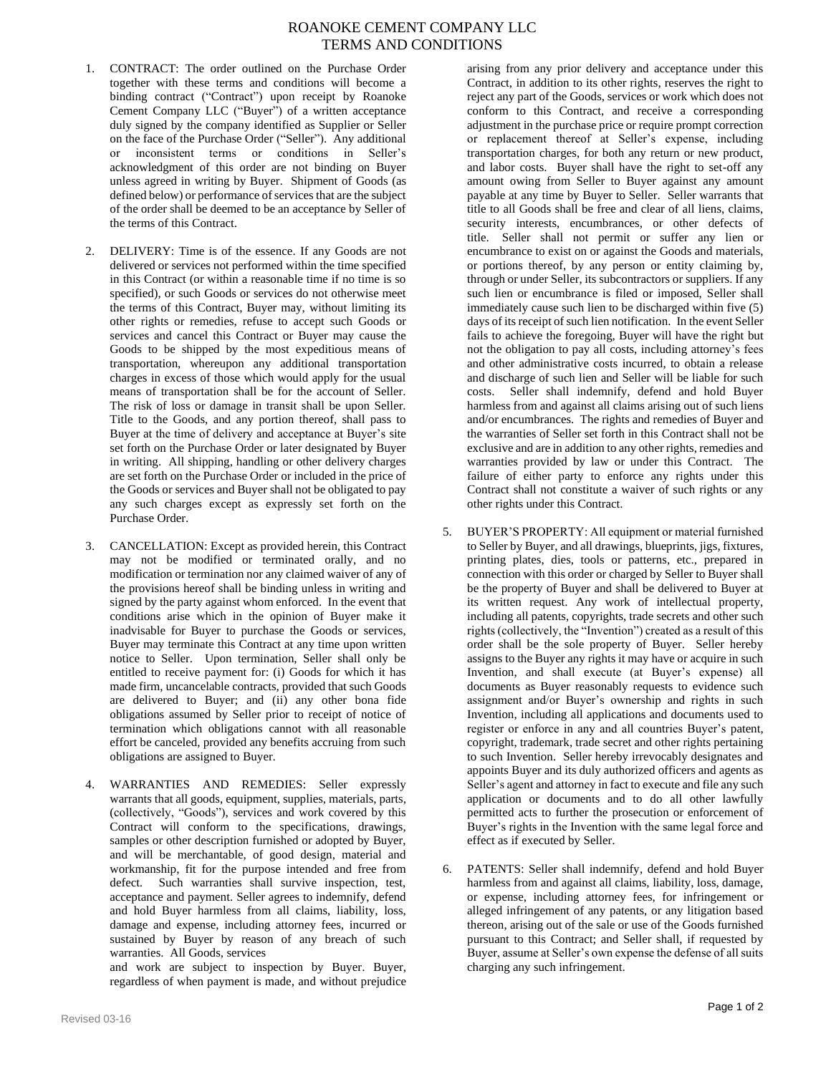## ROANOKE CEMENT COMPANY LLC TERMS AND CONDITIONS

- 1. CONTRACT: The order outlined on the Purchase Order together with these terms and conditions will become a binding contract ("Contract") upon receipt by Roanoke Cement Company LLC ("Buyer") of a written acceptance duly signed by the company identified as Supplier or Seller on the face of the Purchase Order ("Seller"). Any additional or inconsistent terms or conditions in Seller's acknowledgment of this order are not binding on Buyer unless agreed in writing by Buyer. Shipment of Goods (as defined below) or performance of services that are the subject of the order shall be deemed to be an acceptance by Seller of the terms of this Contract.
- 2. DELIVERY: Time is of the essence. If any Goods are not delivered or services not performed within the time specified in this Contract (or within a reasonable time if no time is so specified), or such Goods or services do not otherwise meet the terms of this Contract, Buyer may, without limiting its other rights or remedies, refuse to accept such Goods or services and cancel this Contract or Buyer may cause the Goods to be shipped by the most expeditious means of transportation, whereupon any additional transportation charges in excess of those which would apply for the usual means of transportation shall be for the account of Seller. The risk of loss or damage in transit shall be upon Seller. Title to the Goods, and any portion thereof, shall pass to Buyer at the time of delivery and acceptance at Buyer's site set forth on the Purchase Order or later designated by Buyer in writing. All shipping, handling or other delivery charges are set forth on the Purchase Order or included in the price of the Goods or services and Buyer shall not be obligated to pay any such charges except as expressly set forth on the Purchase Order.
- 3. CANCELLATION: Except as provided herein, this Contract may not be modified or terminated orally, and no modification or termination nor any claimed waiver of any of the provisions hereof shall be binding unless in writing and signed by the party against whom enforced. In the event that conditions arise which in the opinion of Buyer make it inadvisable for Buyer to purchase the Goods or services, Buyer may terminate this Contract at any time upon written notice to Seller. Upon termination, Seller shall only be entitled to receive payment for: (i) Goods for which it has made firm, uncancelable contracts, provided that such Goods are delivered to Buyer; and (ii) any other bona fide obligations assumed by Seller prior to receipt of notice of termination which obligations cannot with all reasonable effort be canceled, provided any benefits accruing from such obligations are assigned to Buyer.
- 4. WARRANTIES AND REMEDIES: Seller expressly warrants that all goods, equipment, supplies, materials, parts, (collectively, "Goods"), services and work covered by this Contract will conform to the specifications, drawings, samples or other description furnished or adopted by Buyer, and will be merchantable, of good design, material and workmanship, fit for the purpose intended and free from defect. Such warranties shall survive inspection, test, acceptance and payment. Seller agrees to indemnify, defend and hold Buyer harmless from all claims, liability, loss, damage and expense, including attorney fees, incurred or sustained by Buyer by reason of any breach of such warranties. All Goods, services

and work are subject to inspection by Buyer. Buyer, regardless of when payment is made, and without prejudice

arising from any prior delivery and acceptance under this Contract, in addition to its other rights, reserves the right to reject any part of the Goods, services or work which does not conform to this Contract, and receive a corresponding adjustment in the purchase price or require prompt correction or replacement thereof at Seller's expense, including transportation charges, for both any return or new product, and labor costs. Buyer shall have the right to set-off any amount owing from Seller to Buyer against any amount payable at any time by Buyer to Seller. Seller warrants that title to all Goods shall be free and clear of all liens, claims, security interests, encumbrances, or other defects of title. Seller shall not permit or suffer any lien or encumbrance to exist on or against the Goods and materials, or portions thereof, by any person or entity claiming by, through or under Seller, its subcontractors or suppliers. If any such lien or encumbrance is filed or imposed, Seller shall immediately cause such lien to be discharged within five (5) days of its receipt of such lien notification. In the event Seller fails to achieve the foregoing, Buyer will have the right but not the obligation to pay all costs, including attorney's fees and other administrative costs incurred, to obtain a release and discharge of such lien and Seller will be liable for such costs. Seller shall indemnify, defend and hold Buyer harmless from and against all claims arising out of such liens and/or encumbrances. The rights and remedies of Buyer and the warranties of Seller set forth in this Contract shall not be exclusive and are in addition to any other rights, remedies and warranties provided by law or under this Contract. The failure of either party to enforce any rights under this Contract shall not constitute a waiver of such rights or any other rights under this Contract.

- 5. BUYER'S PROPERTY: All equipment or material furnished to Seller by Buyer, and all drawings, blueprints, jigs, fixtures, printing plates, dies, tools or patterns, etc., prepared in connection with this order or charged by Seller to Buyer shall be the property of Buyer and shall be delivered to Buyer at its written request. Any work of intellectual property, including all patents, copyrights, trade secrets and other such rights (collectively, the "Invention") created as a result of this order shall be the sole property of Buyer. Seller hereby assigns to the Buyer any rights it may have or acquire in such Invention, and shall execute (at Buyer's expense) all documents as Buyer reasonably requests to evidence such assignment and/or Buyer's ownership and rights in such Invention, including all applications and documents used to register or enforce in any and all countries Buyer's patent, copyright, trademark, trade secret and other rights pertaining to such Invention. Seller hereby irrevocably designates and appoints Buyer and its duly authorized officers and agents as Seller's agent and attorney in fact to execute and file any such application or documents and to do all other lawfully permitted acts to further the prosecution or enforcement of Buyer's rights in the Invention with the same legal force and effect as if executed by Seller.
- 6. PATENTS: Seller shall indemnify, defend and hold Buyer harmless from and against all claims, liability, loss, damage, or expense, including attorney fees, for infringement or alleged infringement of any patents, or any litigation based thereon, arising out of the sale or use of the Goods furnished pursuant to this Contract; and Seller shall, if requested by Buyer, assume at Seller's own expense the defense of all suits charging any such infringement.